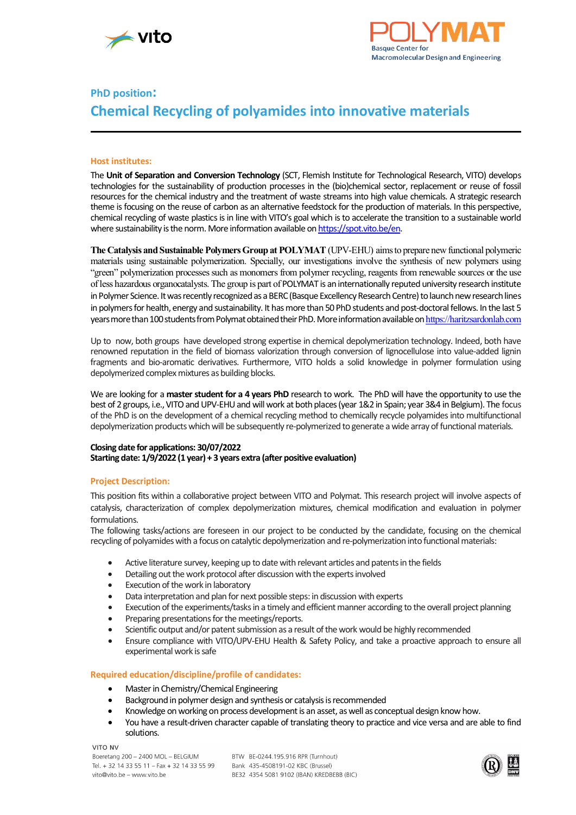



# **PhD position: Chemical Recycling of polyamides into innovative materials**

### **Host institutes:**

The **Unit of Separation and Conversion Technology** (SCT, Flemish Institute for Technological Research, VITO) develops technologies for the sustainability of production processes in the (bio)chemical sector, replacement or reuse of fossil resources for the chemical industry and the treatment of waste streams into high value chemicals. A strategic research theme is focusing on the reuse of carbon as an alternative feedstock for the production of materials. In this perspective, chemical recycling of waste plastics is in line with VITO's goal which is to accelerate the transition to a sustainable world where sustainability is the norm. More information available o[n https://spot.vito.be/en.](https://spot.vito.be/en)

**The Catalysis and Sustainable Polymers Group at POLYMAT** (UPV-EHU) aims to prepare new functional polymeric materials using sustainable polymerization. Specially, our investigations involve the synthesis of new polymers using "green" polymerization processes such as monomers from polymer recycling, reagents from renewable sources or the use of less hazardous organocatalysts. The group is part of POLYMAT is an internationally reputed university research institute in Polymer Science. It was recently recognized as a BERC (Basque Excellency Research Centre) to launch new research lines in polymers for health, energy and sustainability. It has more than 50 PhD students and post-doctoral fellows. In the last 5 years more than 100 students from Polymat obtained their PhD. More information available on [https://haritzsardonlab.com](https://haritzsardonlab.com/)

Up to now, both groups have developed strong expertise in chemical depolymerization technology. Indeed, both have renowned reputation in the field of biomass valorization through conversion of lignocellulose into value-added lignin fragments and bio-aromatic derivatives. Furthermore, VITO holds a solid knowledge in polymer formulation using depolymerized complex mixtures as building blocks.

We are looking for a **masterstudent for a 4 years PhD** research to work. The PhD will have the opportunity to use the best of 2 groups, i.e., VITO and UPV-EHU and will work at both places (year 1&2 in Spain; year 3&4 in Belgium). The focus of the PhD is on the development of a chemical recycling method to chemically recycle polyamidesinto multifunctional depolymerization products which will be subsequently re-polymerized to generate a wide array of functional materials.

#### **Closing date for applications: 30/07/2022 Starting date: 1/9/2022 (1 year) + 3 years extra (after positive evaluation)**

# **Project Description:**

This position fits within a collaborative project between VITO and Polymat. This research project will involve aspects of catalysis, characterization of complex depolymerization mixtures, chemical modification and evaluation in polymer formulations.

The following tasks/actions are foreseen in our project to be conducted by the candidate, focusing on the chemical recycling of polyamides with a focus on catalytic depolymerization and re-polymerization into functional materials:

- Active literature survey, keeping up to date with relevant articles and patents in the fields
- Detailing out the work protocol after discussion with the experts involved
- Execution of the work in laboratory
- Data interpretation and plan for next possible steps: in discussion with experts
- Execution of the experiments/tasks in a timely and efficient manner according to the overall project planning
- Preparing presentations for the meetings/reports.
- Scientific output and/or patent submission as a result of the work would be highly recommended
- Ensure compliance with VITO/UPV-EHU Health & Safety Policy, and take a proactive approach to ensure all experimental work is safe

# **Required education/discipline/profile of candidates:**

- Master in Chemistry/Chemical Engineering
- Background in polymer design and synthesis or catalysis is recommended
- Knowledge on working on process development is an asset, as well as conceptual design know how.
- You have a result-driven character capable of translating theory to practice and vice versa and are able to find solutions.

VITO NV

BTW BE-0244 195 916 RPR (Turnhout) Bank 435-4508191-02 KBC (Brussel) BE32 4354 5081 9102 (IBAN) KREDBEBB (BIC)